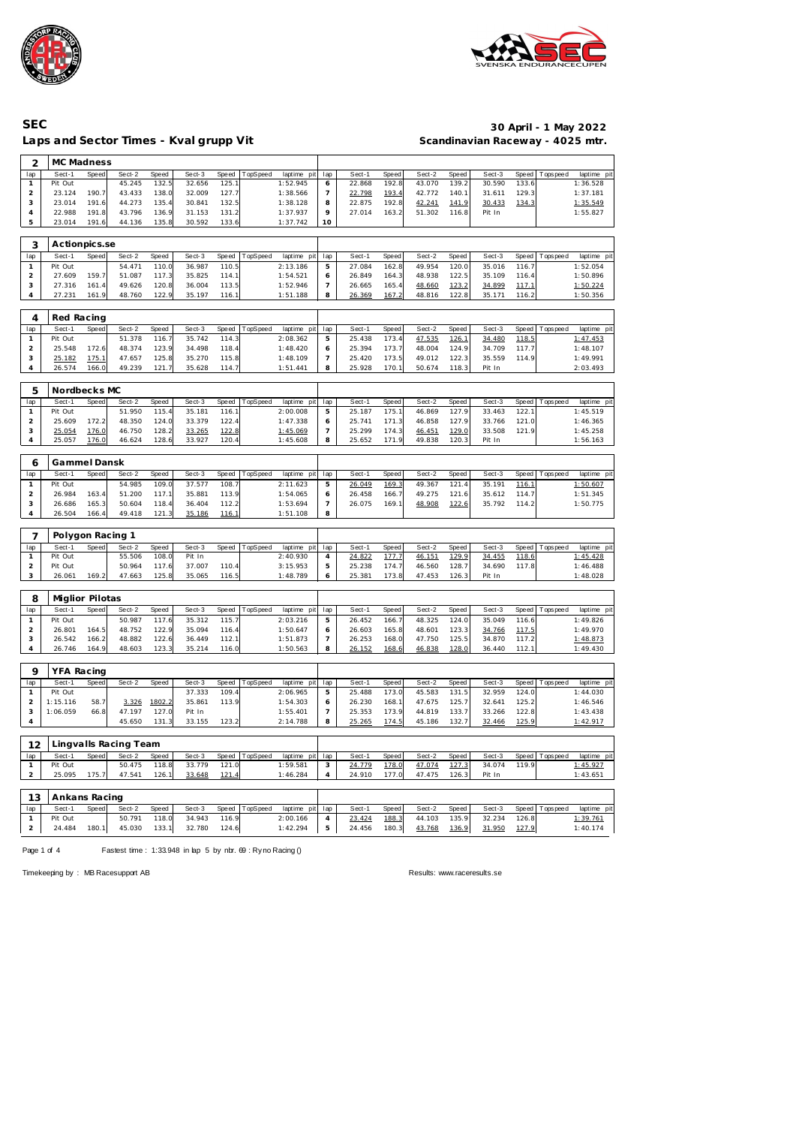



┑

#### Laps and Sector Times - Kval grupp Vit

## **SEC 30 April - 1 May 2022**

| 2                       | MC Madness       |       |                       |        |        |       |                  |                 |                          |        |       |        |       |        |       |             |             |
|-------------------------|------------------|-------|-----------------------|--------|--------|-------|------------------|-----------------|--------------------------|--------|-------|--------|-------|--------|-------|-------------|-------------|
| lap                     | Sect-1           | Speed | Sect-2                | Speed  | Sect-3 | Speed | TopSpeed         | laptime pit     | lap                      | Sect-1 | Speed | Sect-2 | Speed | Sect-3 | Speed | T ops pee d | laptime pit |
| $\mathbf{1}$            | Pit Out          |       | 45.245                | 132.5  | 32.656 | 125.1 |                  | 1:52.945        | 6                        | 22.868 | 192.8 | 43.070 | 139.2 | 30.590 | 133.6 |             | 1:36.528    |
|                         |                  |       | 43.433                |        | 32.009 |       |                  |                 |                          |        |       |        |       |        | 129.3 |             | 1:37.181    |
| $\overline{c}$          | 23.124           | 190.7 |                       | 138.0  |        | 127.7 |                  | 1:38.566        | $\overline{\phantom{a}}$ | 22.798 | 193.4 | 42.772 | 140.1 | 31.611 |       |             |             |
| 3                       | 23.014           | 191.6 | 44.273                | 135.4  | 30.841 | 132.5 |                  | 1:38.128        | 8                        | 22.875 | 192.8 | 42.241 | 141.9 | 30.433 | 134.3 |             | 1:35.549    |
| 4                       | 22.988           | 191.8 | 43.796                | 136.9  | 31.153 | 131.2 |                  | 1:37.937        | 9                        | 27.014 | 163.2 | 51.302 | 116.8 | Pit In |       |             | 1:55.827    |
| 5                       | 23.014           | 191.6 | 44.136                | 135.8  | 30.592 | 133.6 |                  | 1:37.742        | 10                       |        |       |        |       |        |       |             |             |
| 3                       | Actionpics.se    |       |                       |        |        |       |                  |                 |                          |        |       |        |       |        |       |             |             |
|                         | Sect-1           |       | Sect-2                | Speed  | Sect-3 | Speed |                  |                 |                          | Sect-1 | Speed | Sect-2 |       | Sect-3 | Speed |             |             |
| lap                     |                  | Speed |                       |        |        |       | TopSpeed         | laptime pit     | lap                      |        |       |        | Speed |        |       | T ops pee d | laptime pit |
| $\mathbf{1}$            | Pit Out          |       | 54.471                | 110.0  | 36.987 | 110.5 |                  | 2:13.186        | 5                        | 27.084 | 162.8 | 49.954 | 120.0 | 35.016 | 116.7 |             | 1:52.054    |
| $\overline{2}$          | 27.609           | 159.7 | 51.087                | 117.3  | 35.825 | 114.1 |                  | 1:54.521        | 6                        | 26.849 | 164.3 | 48.938 | 122.5 | 35.109 | 116.4 |             | 1:50.896    |
| 3                       | 27.316           | 161.4 | 49.626                | 120.8  | 36.004 | 113.5 |                  | 1:52.946        | $\overline{7}$           | 26.665 | 165.4 | 48.660 | 123.2 | 34.899 | 117.1 |             | 1:50.224    |
| $\overline{4}$          | 27.231           | 161.9 | 48.760                | 122.9  | 35.197 | 116.1 |                  | 1:51.188        | 8                        | 26.369 | 167.2 | 48.816 | 122.8 | 35.171 | 116.2 |             | 1:50.356    |
|                         |                  |       |                       |        |        |       |                  |                 |                          |        |       |        |       |        |       |             |             |
| 4                       | Red Racing       |       |                       |        |        |       |                  |                 |                          |        |       |        |       |        |       |             |             |
| lap                     | Sect-1           | Speed | Sect-2                | Speed  | Sect-3 | Speed | TopSpeed         | laptime pit     | lap                      | Sect-1 | Speed | Sect-2 | Speed | Sect-3 | Speed | Tops pee d  | laptime pit |
| $\mathbf{1}$            | Pit Out          |       | 51.378                | 116.7  | 35.742 | 114.3 |                  | 2:08.362        | 5                        | 25.438 | 173.4 | 47.535 | 126.1 | 34.480 | 118.5 |             | 1:47.453    |
| $\overline{c}$          | 25.548           | 172.6 | 48.374                | 123.9  | 34.498 | 118.4 |                  | 1:48.420        | 6                        | 25.394 | 173.7 | 48.004 | 124.9 | 34.709 | 117.7 |             | 1:48.107    |
| 3                       | 25.182           | 175.1 | 47.657                | 125.8  | 35.270 | 115.8 |                  | 1:48.109        | $\overline{7}$           | 25.420 | 173.5 | 49.012 | 122.3 | 35.559 | 114.9 |             | 1:49.991    |
| $\overline{4}$          | 26.574           | 166.0 | 49.239                | 121.7  | 35.628 | 114.7 |                  | 1:51.441        | 8                        | 25.928 | 170.1 | 50.674 | 118.3 | Pit In |       |             | 2:03.493    |
|                         |                  |       |                       |        |        |       |                  |                 |                          |        |       |        |       |        |       |             |             |
| 5                       | Nordbecks MC     |       |                       |        |        |       |                  |                 |                          |        |       |        |       |        |       |             |             |
| lap                     | Sect-1           | Speed | Sect-2                | Speed  | Sect-3 | Speed | TopSpeed         | laptime pit     | lap                      | Sect-1 | Speed | Sect-2 | Speed | Sect-3 | Speed | T ops pee d | laptime pit |
| $\mathbf{1}$            | Pit Out          |       | 51.950                | 115.4  | 35.181 | 116.1 |                  | 2:00.008        | 5                        | 25.187 | 175.1 | 46.869 | 127.9 | 33.463 | 122.1 |             | 1:45.519    |
| $\overline{c}$          | 25.609           | 172.2 | 48.350                | 124.0  | 33.379 | 122.4 |                  | 1:47.338        | 6                        | 25.741 | 171.3 | 46.858 | 127.9 | 33.766 | 121.0 |             | 1:46.365    |
|                         |                  |       |                       |        |        |       |                  |                 |                          |        |       |        |       |        |       |             |             |
| 3                       | 25.054           | 176.0 | 46.750                | 128.2  | 33.265 | 122.8 |                  | 1:45.069        | $\overline{7}$           | 25.299 | 174.3 | 46.451 | 129.0 | 33.508 | 121.9 |             | 1:45.258    |
| $\overline{4}$          | 25.057           | 176.0 | 46.624                | 128.6  | 33.927 | 120.4 |                  | 1:45.608        | 8                        | 25.652 | 171.9 | 49.838 | 120.3 | Pit In |       |             | 1:56.163    |
|                         | Gammel Dansk     |       |                       |        |        |       |                  |                 |                          |        |       |        |       |        |       |             |             |
| 6                       |                  |       |                       |        |        |       |                  |                 |                          |        |       |        |       |        |       |             |             |
| lap                     | Sect-1           | Speed | Sect-2                | Speed  | Sect-3 | Speed | TopSpeed         | laptime pit     | lap                      | Sect-1 | Speed | Sect-2 | Speed | Sect-3 | Speed | Tops pee d  | laptime pit |
| $\mathbf{1}$            | Pit Out          |       | 54.985                | 109.0  | 37.577 | 108.7 |                  | 2:11.623        | 5                        | 26.049 | 169.3 | 49.367 | 121.4 | 35.191 | 116.1 |             | 1:50.607    |
| $\overline{c}$          | 26.984           | 163.4 | 51.200                | 117.1  | 35.881 | 113.9 |                  | 1:54.065        | 6                        | 26.458 | 166.7 | 49.275 | 121.6 | 35.612 | 114.7 |             | 1:51.345    |
| 3                       | 26.686           | 165.3 | 50.604                | 118.4  | 36.404 | 112.2 |                  | 1:53.694        | $\overline{7}$           | 26.075 | 169.1 | 48.908 | 122.6 | 35.792 | 114.2 |             | 1:50.775    |
| $\overline{4}$          | 26.504           | 166.4 | 49.418                | 121.3  | 35.186 | 116.1 |                  | 1:51.108        | 8                        |        |       |        |       |        |       |             |             |
|                         |                  |       |                       |        |        |       |                  |                 |                          |        |       |        |       |        |       |             |             |
| 7                       | Polygon Racing 1 |       |                       |        |        |       |                  |                 |                          |        |       |        |       |        |       |             |             |
| lap                     | Sect-1           | Speed | Sect-2                | Speed  | Sect-3 | Speed | TopSpeed         | laptime pit     | lap                      | Sect-1 | Speed | Sect-2 | Speed | Sect-3 | Speed | Tops pee d  | laptime pit |
| $\mathbf{1}$            | Pit Out          |       | 55.506                | 108.0  | Pit In |       |                  | 2:40.930        | 4                        | 24.822 | 177.7 | 46.151 | 129.9 | 34.455 | 118.6 |             | 1:45.428    |
| $\overline{c}$          | Pit Out          |       | 50.964                | 117.6  | 37.007 | 110.4 |                  | 3:15.953        | 5                        | 25.238 | 174.7 | 46.560 | 128.7 | 34.690 | 117.8 |             | 1:46.488    |
| 3                       | 26.061           | 169.2 | 47.663                | 125.8  | 35.065 | 116.5 |                  | 1:48.789        | 6                        | 25.381 | 173.8 | 47.453 | 126.3 | Pit In |       |             | 1:48.028    |
|                         |                  |       |                       |        |        |       |                  |                 |                          |        |       |        |       |        |       |             |             |
| 8                       | Miglior Pilotas  |       |                       |        |        |       |                  |                 |                          |        |       |        |       |        |       |             |             |
|                         |                  |       |                       |        |        |       |                  |                 |                          |        |       |        |       |        |       |             |             |
| lap                     | Sect-1           | Speed | Sect-2                | Speed  | Sect-3 | Speed | TopSpeed         | laptime pit     | lap                      | Sect-1 | Speed | Sect-2 | Speed | Sect-3 | Speed | Tops peed   | laptime pit |
| $\mathbf{1}$            | Pit Out          |       | 50.987                | 117.6  | 35.312 | 115.7 |                  | 2:03.216        | 5                        | 26.452 | 166.7 | 48.325 | 124.0 | 35.049 | 116.6 |             | 1:49.826    |
| $\overline{\mathbf{c}}$ | 26.801           | 164.5 | 48.752                | 122.9  | 35.094 | 116.4 |                  | 1:50.647        | 6                        | 26.603 | 165.8 | 48.601 | 123.3 | 34.766 | 117.5 |             | 1:49.970    |
| 3                       | 26.542           | 166.2 | 48.882                | 122.6  | 36.449 | 112.1 |                  | 1:51.873        | $\overline{7}$           | 26.253 | 168.0 | 47.750 | 125.5 | 34.870 | 117.2 |             | 1:48.873    |
| 4                       | 26.746           | 164.9 | 48.603                | 123.3  | 35.214 | 116.0 |                  | 1:50.563        | 8                        | 26.152 | 168.6 | 46.838 | 128.0 | 36.440 | 112.1 |             | 1:49.430    |
|                         |                  |       |                       |        |        |       |                  |                 |                          |        |       |        |       |        |       |             |             |
| 9                       | YFA Racing       |       |                       |        |        |       |                  |                 |                          |        |       |        |       |        |       |             |             |
| lap                     | Sect-1           | Speed | Sect-2                | Speed  | Sect-3 | Speed | TopSpeed         | laptime pit     | lap                      | Sect-1 | Speed | Sect-2 | Speed | Sect-3 | Speed | Topspeed    | laptime pit |
| 1                       | Pit Out          |       |                       |        | 37.333 | 109.4 |                  | 2:06.965        |                          |        |       |        |       | 32.959 | 124.0 |             | 1:44.030    |
|                         |                  |       |                       |        |        |       |                  |                 | 5                        | 25.488 | 173.0 | 45.583 | 131.5 |        |       |             |             |
| $\overline{a}$          | 1:15.116         | 58.7  | 3.326                 | 1802.2 | 35.861 | 113.9 |                  | 1:54.303        | 6                        | 26.230 | 168.1 | 47.675 | 125.7 | 32.641 | 125.2 |             | 1:46.546    |
| 3                       | 1:06.059         | 66.8  | 47.197                | 127.0  | Pit In |       |                  | 1:55.401        | $\overline{7}$           | 25.353 | 173.9 | 44.819 | 133.7 | 33.266 | 122.8 |             | 1:43.438    |
| 4                       |                  |       | 45.650                | 131.3  | 33.155 | 123.2 |                  | 2:14.788        | 8                        | 25.265 | 174.5 | 45.186 | 132.7 | 32.466 | 125.9 |             | 1:42.917    |
|                         |                  |       |                       |        |        |       |                  |                 |                          |        |       |        |       |        |       |             |             |
| 12                      | Sect-1           |       | Lingvalls Racing Team |        |        |       |                  |                 |                          |        |       |        |       |        |       |             |             |
| lap                     |                  | Speed | Sect-2                | Speed  | Sect-3 | Speed | TopSpeed         | laptime pit     | lap                      | Sect-1 | Speed | Sect-2 | Speed | Sect-3 | Speed | Tops pee d  | laptime pit |
| $\mathbf{1}$            | Pit Out          |       | 50.475                | 118.8  | 33.779 | 121.0 |                  | 1:59.581        | 3                        | 24.779 | 178.0 | 47.074 | 127.3 | 34.074 | 119.9 |             | 1:45.927    |
| $\overline{a}$          | 25.095           | 175.7 | 47.541                | 126.1  | 33.648 | 121.4 |                  | 1:46.284        | 4                        | 24.910 | 177.0 | 47.475 | 126.3 | Pit In |       |             | 1:43.651    |
|                         |                  |       |                       |        |        |       |                  |                 |                          |        |       |        |       |        |       |             |             |
| 13                      | Ankans Racing    |       |                       |        |        |       |                  |                 |                          |        |       |        |       |        |       |             |             |
| lap                     | Sect-1           | Speed | Sect-2                | Speed  | Sect-3 |       | Speed   TopSpeed | laptime pit lap |                          | Sect-1 | Speed | Sect-2 | Speed | Sect-3 | Speed | Tops peed   | laptime pit |

| .              |         |       |        |       |        |       |                |                 |        |       |               |       |              |       |                 |          |
|----------------|---------|-------|--------|-------|--------|-------|----------------|-----------------|--------|-------|---------------|-------|--------------|-------|-----------------|----------|
| lap            | Sect-1  | Speed | Sect-2 | Speed | Sect-3 |       | Speed TopSpeed | laptime pit lap | Sect-1 | Speed | Sect-2        | Speed | Sect-3       |       | Speed Tops peed | laptime  |
|                | Pit Out |       | 50.791 | 118.0 | 34.943 | 116.9 |                | 2:00.166        | 23.424 | 188.3 | 44.103        | 135.9 | 32.234       | 126.8 |                 | 1:39.761 |
| $\overline{2}$ | 24.484  | 180.1 | 45.030 | 133.1 | 32.780 | 124.6 |                | 1:42.294        | 24.456 | 180.3 | <u>43.768</u> | 136.9 | 31.950 127.9 |       |                 | 1:40.174 |
|                |         |       |        |       |        |       |                |                 |        |       |               |       |              |       |                 |          |

Page 1 of 4 Fastest time : 1:33.948 in lap 5 by nbr. 69 : Ry no Racing ()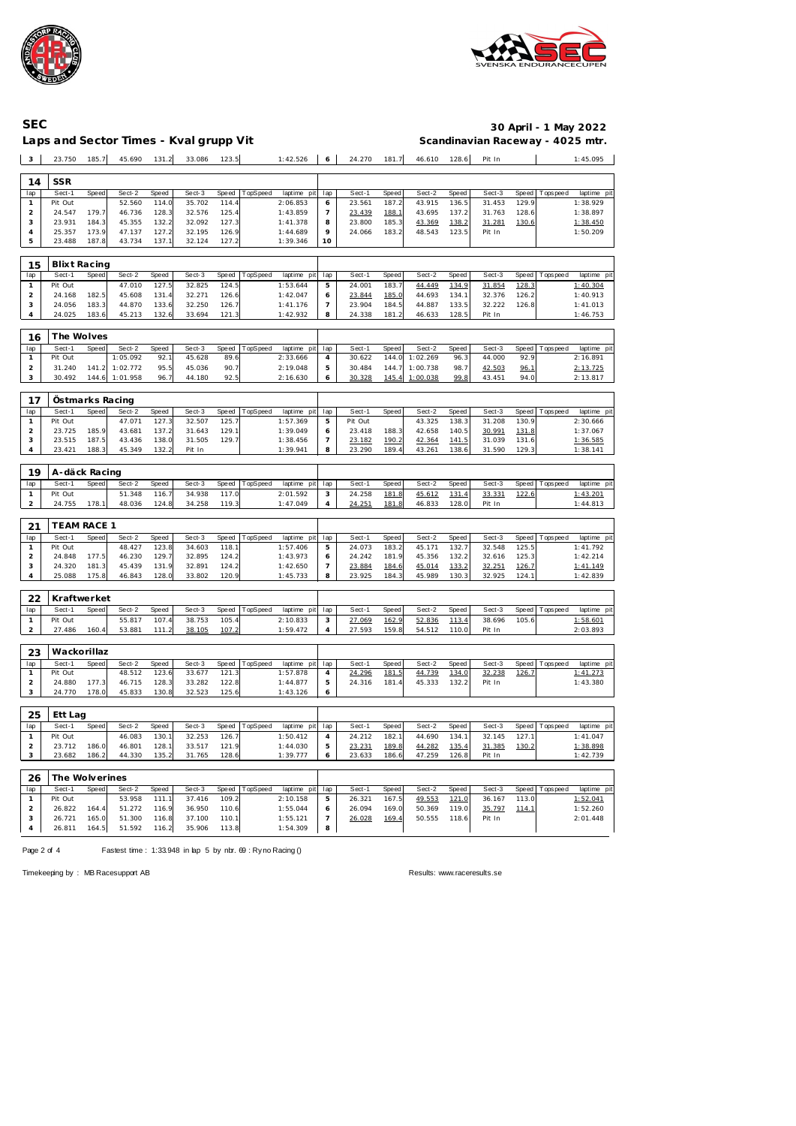



### Laps and Sector Times - Kval grupp Vit

## **SEC 30 April - 1 May 2022**

| 3                       | 23.750                 | 185.7           | 45.690           | 131.2          | 33.086           | 123.5          |          | 1:42.526                   | 6                   | 24.270            | 181.7                 | 46.610           | 128.6          | Pit In           |                |                 | 1:45.095                |
|-------------------------|------------------------|-----------------|------------------|----------------|------------------|----------------|----------|----------------------------|---------------------|-------------------|-----------------------|------------------|----------------|------------------|----------------|-----------------|-------------------------|
|                         |                        |                 |                  |                |                  |                |          |                            |                     |                   |                       |                  |                |                  |                |                 |                         |
| 14                      | <b>SSR</b>             |                 |                  |                |                  |                |          |                            |                     |                   |                       |                  |                |                  |                |                 |                         |
| lap<br>$\mathbf{1}$     | Sect-1<br>Pit Out      | Speed           | Sect-2<br>52.560 | Speed<br>114.0 | Sect-3<br>35.702 | Speed<br>114.4 | TopSpeed | laptime pit<br>2:06.853    | lap<br>6            | Sect-1<br>23.561  | Speed<br>187.2        | Sect-2<br>43.915 | Speed<br>136.5 | Sect-3<br>31.453 | Speed<br>129.9 | Tops peed       | laptime pit<br>1:38.929 |
| $\mathbf 2$             | 24.547                 | 179.7           | 46.736           | 128.3          | 32.576           | 125.4          |          | 1:43.859                   | 7                   | 23.439            | 188.1                 | 43.695           | 137.2          | 31.763           | 128.6          |                 | 1:38.897                |
| 3                       | 23.931                 | 184.3           | 45.355           | 132.2          | 32.092           | 127.3          |          | 1:41.378                   | 8                   | 23.800            | 185.3                 | 43.369           | 138.2          | 31.281           | 130.6          |                 | 1:38.450                |
| 4                       | 25.357                 | 173.9           | 47.137           | 127.2          | 32.195           | 126.9          |          | 1:44.689                   | 9                   | 24.066            | 183.2                 | 48.543           | 123.5          | Pit In           |                |                 | 1:50.209                |
| 5                       | 23.488                 | 187.8           | 43.734           | 137.1          | 32.124           | 127.2          |          | 1:39.346                   | 10                  |                   |                       |                  |                |                  |                |                 |                         |
|                         |                        |                 |                  |                |                  |                |          |                            |                     |                   |                       |                  |                |                  |                |                 |                         |
| 15<br>lap               | Blixt Racing<br>Sect-1 | Speed           | Sect-2           | Speed          | Sect-3           | Speed          | TopSpeed | laptime pit                | lap                 | Sect-1            | Speed                 | Sect-2           | Speed          | Sect-3           | Speed          | Tops pee d      | laptime pit             |
| $\mathbf{1}$            | Pit Out                |                 | 47.010           | 127.5          | 32.825           | 124.5          |          | 1:53.644                   | 5                   | 24.001            | 183.7                 | 44.449           | 134.9          | 31.854           | 128.3          |                 | 1:40.304                |
| $\overline{c}$          | 24.168                 | 182.5           | 45.608           | 131.4          | 32.271           | 126.6          |          | 1:42.047                   | 6                   | 23.844            | 185.0                 | 44.693           | 134.1          | 32.376           | 126.2          |                 | 1:40.913                |
| 3                       | 24.056                 | 183.3           | 44.870           | 133.6          | 32.250           | 126.7          |          | 1:41.176                   | $\overline{7}$      | 23.904            | 184.5                 | 44.887           | 133.5          | 32.222           | 126.8          |                 | 1:41.013                |
| 4                       | 24.025                 | 183.6           | 45.213           | 132.6          | 33.694           | 121.3          |          | 1:42.932                   | 8                   | 24.338            | 181.2                 | 46.633           | 128.5          | Pit In           |                |                 | 1:46.753                |
| 16                      | The Wolves             |                 |                  |                |                  |                |          |                            |                     |                   |                       |                  |                |                  |                |                 |                         |
| lap                     | Sect-1                 | Speed           | Sect-2           | Speed          | Sect-3           | Speed          | TopSpeed | laptime pit                | lap                 | Sect-1            | Speed                 | Sect-2           | Speed          | Sect-3           | Speed          | T ops peed      | laptime pit             |
| $\mathbf{1}$            | Pit Out                |                 | 1:05.092         | 92.1           | 45.628           | 89.6           |          | 2:33.666                   | $\overline{4}$      | 30.622            | 144.0                 | 1:02.269         | 96.3           | 44.000           | 92.9           |                 | 2:16.891                |
| $\overline{c}$          | 31.240                 | 141.2           | 1:02.772         | 95.5           | 45.036           | 90.7           |          | 2:19.048                   | 5                   | 30.484            | 144.7                 | 1:00.738         | 98.7           | 42.503           | 96.1           |                 | 2:13.725                |
| 3                       | 30.492                 | 144.6           | 1:01.958         | 96.7           | 44.180           | 92.5           |          | 2:16.630                   | 6                   | 30.328            | 145.4                 | 1:00.038         | 99.8           | 43.451           | 94.0           |                 | 2:13.817                |
|                         |                        |                 |                  |                |                  |                |          |                            |                     |                   |                       |                  |                |                  |                |                 |                         |
| 17                      |                        | Östmarks Racing |                  |                |                  |                |          |                            |                     |                   |                       |                  |                |                  |                |                 |                         |
| lap<br>$\mathbf{1}$     | Sect-1<br>Pit Out      | Speed           | Sect-2<br>47.071 | Speed<br>127.3 | Sect-3<br>32.507 | Speed<br>125.7 | TopSpeed | laptime pit<br>1:57.369    | lap<br>5            | Sect-1<br>Pit Out | Speed                 | Sect-2<br>43.325 | Speed<br>138.3 | Sect-3<br>31.208 | Speed<br>130.9 | T ops pee d     | laptime pit<br>2:30.666 |
| $\overline{c}$          | 23.725                 | 185.9           | 43.681           | 137.2          | 31.643           | 129.1          |          | 1:39.049                   | 6                   | 23.418            | 188.3                 | 42.658           | 140.5          | 30.991           | <u>131.8</u>   |                 | 1:37.067                |
| 3                       | 23.515                 | 187.5           | 43.436           | 138.0          | 31.505           | 129.7          |          | 1:38.456                   | $\overline{7}$      | 23.182            | 190.2                 | 42.364           | 141.5          | 31.039           | 131.6          |                 | 1:36.585                |
| 4                       | 23.421                 | 188.3           | 45.349           | 132.2          | Pit In           |                |          | 1:39.941                   | 8                   | 23.290            | 189.4                 | 43.261           | 138.6          | 31.590           | 129.3          |                 | 1:38.141                |
|                         |                        |                 |                  |                |                  |                |          |                            |                     |                   |                       |                  |                |                  |                |                 |                         |
| 19                      | A-däck Racing          |                 |                  |                |                  |                |          |                            |                     |                   |                       |                  |                |                  |                |                 |                         |
| lap<br>1                | Sect-1<br>Pit Out      | Speed           | Sect-2<br>51.348 | Speed<br>116.7 | Sect-3<br>34.938 | Speed<br>117.0 | TopSpeed | laptime<br>pit<br>2:01.592 | lap<br>3            | Sect-1<br>24.258  | Speed<br>181.8        | Sect-2<br>45.612 | Speed<br>131.4 | Sect-3<br>33.331 | Speed<br>122.6 | T ops pee d     | laptime pit<br>1:43.201 |
| $\overline{a}$          | 24.755                 | 178.1           | 48.036           | 124.8          | 34.258           | 119.3          |          | 1:47.049                   | $\overline{4}$      | 24.251            | 181.8                 | 46.833           | 128.0          | Pit In           |                |                 | 1:44.813                |
|                         |                        |                 |                  |                |                  |                |          |                            |                     |                   |                       |                  |                |                  |                |                 |                         |
| 21                      | <b>TEAM RACE 1</b>     |                 |                  |                |                  |                |          |                            |                     |                   |                       |                  |                |                  |                |                 |                         |
| lap                     | Sect-1                 | <b>Speed</b>    | Sect-2           | Speed          | Sect-3           | Speed          | TopSpeed | laptime pit                | lap                 | Sect-1            | Speed                 | Sect-2           | Speed          | Sect-3           | Speed          | T ops pee d     | laptime pit             |
| $\mathbf{1}$            | Pit Out                |                 | 48.427           | 123.8          | 34.603           | 118.7          |          | 1:57.406                   | 5                   | 24.073            | 183.2                 | 45.171           | 132.7          | 32.548           | 125.5          |                 | 1:41.792                |
| $\overline{c}$          | 24.848                 | 177.5           | 46.230           | 129.7          | 32.895           | 124.2          |          | 1:43.973                   | 6                   | 24.242            | 181.9                 | 45.356           | 132.2          | 32.616           | 125.3          |                 | 1:42.214                |
| 3<br>4                  | 24.320<br>25.088       | 181.3<br>175.8  | 45.439<br>46.843 | 131.9<br>128.0 | 32.891<br>33.802 | 124.2<br>120.9 |          | 1:42.650<br>1:45.733       | $\overline{7}$<br>8 | 23.884<br>23.925  | <u>184.6</u><br>184.3 | 45.014<br>45.989 | 133.2<br>130.3 | 32.251<br>32.925 | 126.7<br>124.1 |                 | 1:41.149<br>1:42.839    |
|                         |                        |                 |                  |                |                  |                |          |                            |                     |                   |                       |                  |                |                  |                |                 |                         |
| 22                      | Kraftwerket            |                 |                  |                |                  |                |          |                            |                     |                   |                       |                  |                |                  |                |                 |                         |
| lap                     | Sect-1                 | Speed           | Sect-2           | Speed          | Sect-3           | Speed          | TopSpeed | laptime pit                | lap                 | Sect-1            | <b>Speed</b>          | Sect-2           | Speed          | Sect-3           | Speed          | T ops pee d     | laptime pit             |
| 1                       | Pit Out                |                 | 55.817           | 107.4          | 38.753           | 105.4          |          | 2:10.833                   | 3                   | 27.069            | 162.9                 | 52.836           | 113.4          | 38.696           | 105.6          |                 | 1:58.601                |
| $\overline{a}$          | 27.486                 | 160.4           | 53.881           | 111.2          | <u>38.105</u>    | 107.2          |          | 1:59.472                   | 4                   | 27.593            | 159.8                 | 54.512           | 110.0          | Pit In           |                |                 | 2:03.893                |
| 23                      | Wackorillaz            |                 |                  |                |                  |                |          |                            |                     |                   |                       |                  |                |                  |                |                 |                         |
| lap                     | Sect-1                 | Speed           | Sect-2           | Speed          | Sect-3           | Speed          | TopSpeed | laptime pit                | lap                 | Sect-1            | Speed                 | Sect-2           | Speed          | Sect-3           | Speed          | <b>Topspeed</b> | laptime pit             |
| $\mathbf{1}$            | Pit Out                |                 | 48.512           | 123.6          | 33.677           | 121.3          |          | 1:57.878                   | 4                   | 24.296            | 181.5                 | 44.739           | 134.0          | 32.238           | 126.7          |                 | 1:41.273                |
| $\overline{a}$          | 24.880                 | 177.3           | 46.715           | 128.3          | 33.282           | 122.8          |          | 1:44.877                   | 5                   | 24.316            | 181.4                 | 45.333           | 132.2          | Pit In           |                |                 | 1:43.380                |
| 3                       | 24.770                 | 178.0           | 45.833           | 130.8          | 32.523           | 125.6          |          | 1:43.126                   | 6                   |                   |                       |                  |                |                  |                |                 |                         |
| 25                      | Ett Lag                |                 |                  |                |                  |                |          |                            |                     |                   |                       |                  |                |                  |                |                 |                         |
| lap                     | Sect-1                 | Speed           | Sect-2           | Speed          | Sect-3           | Speed          | TopSpeed | laptime pit                | lap                 | Sect-1            | Speed                 | Sect-2           | Speed          | Sect-3           | Speed          | T ops pee d     | laptime pit             |
| $\mathbf{1}$            | Pit Out                |                 | 46.083           | 130.1          | 32.253           | 126.7          |          | 1:50.412                   | $\overline{4}$      | 24.212            | 182.1                 | 44.690           | 134.1          | 32.145           | 127.1          |                 | 1:41.047                |
| $\overline{a}$          | 23.712                 | 186.0           | 46.801           | 128.1          | 33.517           | 121.9          |          | 1:44.030                   | 5                   | 23.231            | 189.8                 | 44.282           | 135.4          | 31.385           | 130.2          |                 | 1:38.898                |
| 3                       | 23.682                 | 186.2           | 44.330           | 135.2          | 31.765           | 128.6          |          | 1:39.777                   | 6                   | 23.633            | 186.6                 | 47.259           | 126.8          | Pit In           |                |                 | 1:42.739                |
| 26                      | The Wolverines         |                 |                  |                |                  |                |          |                            |                     |                   |                       |                  |                |                  |                |                 |                         |
| lap                     | Sect-1                 | Speed           | Sect-2           | Speed          | Sect-3           | Speed          | TopSpeed | laptime pit                | lap                 | Sect-1            | Speed                 | Sect-2           | Speed          | Sect-3           |                | Speed Tops peed | laptime pit             |
| $\mathbf{1}$            | Pit Out                |                 | 53.958           | 111.1          | 37.416           | 109.2          |          | 2:10.158                   | 5                   | 26.321            | 167.5                 | 49.553           | 121.0          | 36.167           | 113.0          |                 | 1:52.041                |
| $\overline{\mathbf{c}}$ | 26.822                 | 164.4           | 51.272           | 116.9          | 36.950           | 110.6          |          | 1:55.044                   | 6                   | 26.094            | 169.0                 | 50.369           | 119.0          | 35.797           | 114.1          |                 | 1:52.260                |
| 3                       | 26.721                 | 165.0           | 51.300           | 116.8          | 37.100           | 110.1          |          | 1:55.121                   | $\overline{7}$      | 26.028            | 169.4                 | 50.555           | 118.6          | Pit In           |                |                 | 2:01.448                |
| 4                       | 26.811                 | 164.5           | 51.592           | 116.2          | 35.906           | 113.8          |          | 1:54.309                   | 8                   |                   |                       |                  |                |                  |                |                 |                         |

Page 2 of 4 Fastest time : 1:33.948 in lap 5 by nbr. 69 : Ry no Racing ()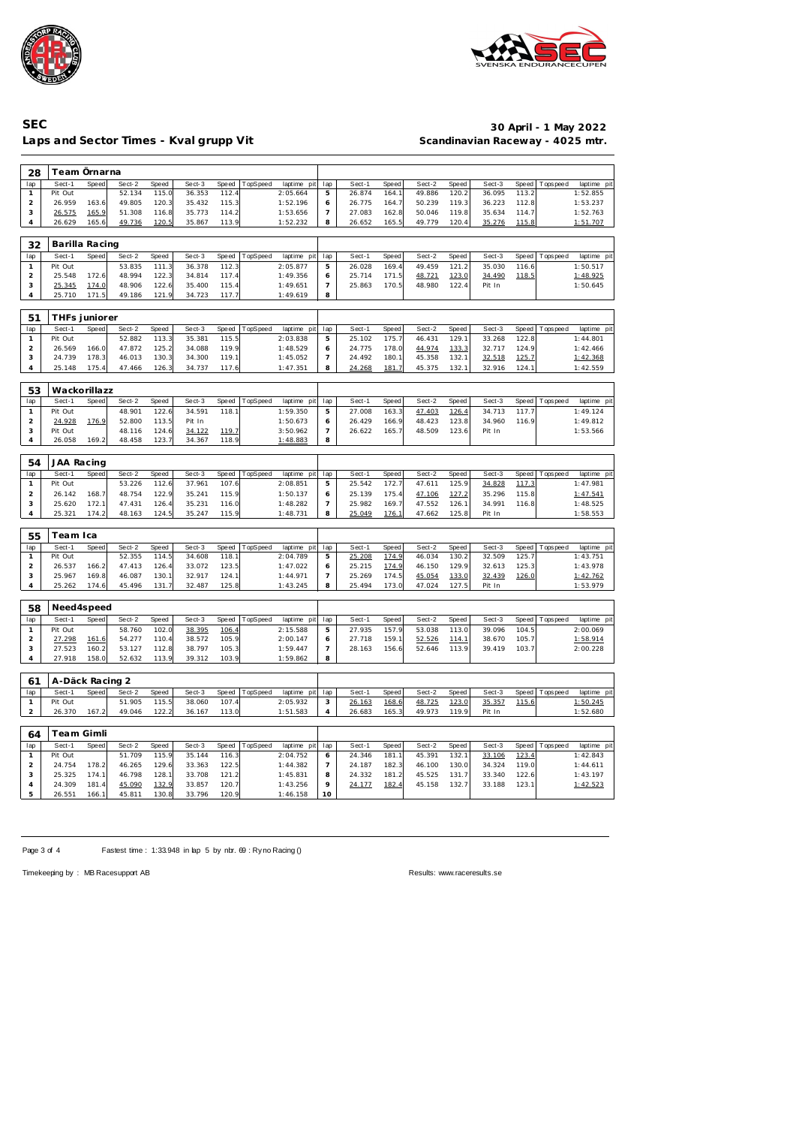



### Laps and Sector Times - Kval grupp Vit **Scandinavian Raceway - 4025 mtr.**

### **SEC 30 April - 1 May 2022**

| 28                  | Team Örnarna      |       |                  |                |                  |                |          |                         |                          |                  |                |                  |                |                  |                |             |                         |
|---------------------|-------------------|-------|------------------|----------------|------------------|----------------|----------|-------------------------|--------------------------|------------------|----------------|------------------|----------------|------------------|----------------|-------------|-------------------------|
| lap                 | Sect-1            | Speed | Sect-2           | Speed          | Sect-3           | Speed          | TopSpeed | laptime pit             | lap                      | Sect-1           | Speed          | Sect-2           | Speed          | Sect-3           | Speed          | T ops pee d | laptime pit             |
| $\mathbf{1}$        | Pit Out           |       | 52.134           | 115.0          | 36.353           | 112.4          |          | 2:05.664                | 5                        | 26.874           | 164.1          | 49.886           | 120.2          | 36.095           | 113.2          |             | 1:52.855                |
| $\sqrt{2}$          | 26.959            | 163.6 | 49.805           | 120.3          | 35.432           | 115.3          |          | 1:52.196                | 6                        | 26.775           | 164.7          | 50.239           | 119.3          | 36.223           | 112.8          |             | 1:53.237                |
| 3                   | 26.575            | 165.9 | 51.308           | 116.8          | 35.773           | 114.2          |          | 1:53.656                | 7                        | 27.083           | 162.8          | 50.046           | 119.8          | 35.634           | 114.7          |             | 1:52.763                |
| $\overline{4}$      | 26.629            | 165.6 | 49.736           | 120.5          | 35.867           | 113.9          |          | 1:52.232                | 8                        | 26.652           | 165.5          | 49.779           | 120.4          | 35.276           | 115.8          |             | 1:51.707                |
| 32                  | Barilla Racing    |       |                  |                |                  |                |          |                         |                          |                  |                |                  |                |                  |                |             |                         |
|                     | Sect-1            |       |                  |                |                  |                |          |                         |                          |                  |                |                  |                |                  | Speed          |             |                         |
| lap<br>$\mathbf{1}$ | Pit Out           | Speed | Sect-2<br>53.835 | Speed<br>111.3 | Sect-3<br>36.378 | Speed<br>112.3 | TopSpeed | laptime pit<br>2:05.877 | lap<br>5                 | Sect-1<br>26.028 | Speed<br>169.4 | Sect-2<br>49.459 | Speed<br>121.2 | Sect-3<br>35.030 | 116.6          | T ops pee d | laptime pit<br>1:50.517 |
| $\sqrt{2}$          | 25.548            | 172.6 | 48.994           | 122.3          | 34.814           | 117.4          |          | 1:49.356                | 6                        | 25.714           | 171.5          | 48.721           | 123.0          | 34.490           | 118.5          |             | 1:48.925                |
| $\sqrt{3}$          | 25.345            | 174.0 | 48.906           | 122.6          | 35.400           | 115.4          |          | 1:49.651                | $\overline{7}$           | 25.863           | 170.5          | 48.980           | 122.4          | Pit In           |                |             | 1:50.645                |
| $\overline{4}$      | 25.710            | 171.5 | 49.186           | 121.9          | 34.723           | 117.7          |          | 1:49.619                | 8                        |                  |                |                  |                |                  |                |             |                         |
|                     |                   |       |                  |                |                  |                |          |                         |                          |                  |                |                  |                |                  |                |             |                         |
| 51                  | THFs juniorer     |       |                  |                |                  |                |          |                         |                          |                  |                |                  |                |                  |                |             |                         |
| lap                 | Sect-1            | Speed | Sect-2           | Speed          | Sect-3           | Speed          | TopSpeed | laptime pit             | lap                      | Sect-1           | Speed          | Sect-2           | Speed          | Sect-3           | Speed          | T ops pee d | laptime pit             |
| $\mathbf{1}$        | Pit Out           |       | 52.882           | 113.3          | 35.381           | 115.5          |          | 2:03.838                | 5                        | 25.102           | 175.7          | 46.431           | 129.1          | 33.268           | 122.8          |             | 1:44.801                |
| $\overline{a}$<br>3 | 26.569<br>24.739  | 166.0 | 47.872<br>46.013 | 125.2          | 34.088           | 119.9          |          | 1:48.529                | 6                        | 24.775           | 178.0          | 44.974           | 133.3          | 32.717           | 124.9          |             | 1:42.466                |
| $\overline{4}$      |                   | 178.3 |                  | 130.3          | 34.300           | 119.1          |          | 1:45.052                | 7                        | 24.492           | 180.7          | 45.358           | 132.1          | 32.518           | 125.7          |             | 1:42.368                |
|                     | 25.148            | 175.4 | 47.466           | 126.3          | 34.737           | 117.6          |          | 1:47.351                | 8                        | 24.268           | 181.7          | 45.375           | 132.1          | 32.916           | 124.1          |             | 1:42.559                |
| 53                  | Wackorillazz      |       |                  |                |                  |                |          |                         |                          |                  |                |                  |                |                  |                |             |                         |
| lap                 | Sect-1            | Speed | Sect-2           | Speed          | Sect-3           | Speed          | TopSpeed | laptime pit             | lap                      | Sect-1           | Speed          | Sect-2           | Speed          | Sect-3           | Speed          | Tops peed   | laptime pit             |
| $\mathbf{1}$        | Pit Out           |       | 48.901           | 122.6          | 34.591           | 118.1          |          | 1:59.350                | 5                        | 27.008           | 163.3          | 47.403           | 126.4          | 34.713           | 117.7          |             | 1:49.124                |
| $\sqrt{2}$          | 24.928            | 176.9 | 52.800           | 113.5          | Pit In           |                |          | 1:50.673                | 6                        | 26.429           | 166.9          | 48.423           | 123.8          | 34.960           | 116.9          |             | 1:49.812                |
| 3                   | Pit Out           |       | 48.116           | 124.6          | 34.122           | 119.7          |          | 3:50.962                | $\overline{\phantom{a}}$ | 26.622           | 165.7          | 48.509           | 123.6          | Pit In           |                |             | 1:53.566                |
| $\overline{4}$      | 26.058            | 169.2 | 48.458           | 123.7          | 34.367           | 118.9          |          | 1:48.883                | 8                        |                  |                |                  |                |                  |                |             |                         |
|                     | 54<br>JAA Racing  |       |                  |                |                  |                |          |                         |                          |                  |                |                  |                |                  |                |             |                         |
|                     | Sect-1            | Speed |                  |                |                  |                |          |                         |                          |                  |                |                  |                | Sect-3           | Speed          |             |                         |
| lap<br>$\mathbf{1}$ | Pit Out           |       | Sect-2<br>53.226 | Speed<br>112.6 | Sect-3<br>37.961 | Speed<br>107.6 | TopSpeed | laptime pit<br>2:08.851 | lap<br>5                 | Sect-1<br>25.542 | Speed<br>172.7 | Sect-2<br>47.611 | Speed<br>125.9 | 34.828           | 117.3          | T ops pee d | laptime pit<br>1:47.981 |
| $\sqrt{2}$          | 26.142            | 168.7 | 48.754           | 122.9          | 35.241           | 115.9          |          | 1:50.137                | 6                        | 25.139           | 175.4          | 47.106           | 127.2          | 35.296           | 115.8          |             | 1:47.541                |
| 3                   | 25.620            | 172.1 | 47.431           | 126.4          | 35.231           | 116.0          |          | 1:48.282                | 7                        | 25.982           | 169.7          | 47.552           | 126.1          | 34.991           | 116.8          |             | 1:48.525                |
| $\overline{4}$      | 25.321            | 174.2 | 48.163           | 124.5          | 35.247           | 115.9          |          | 1:48.731                | 8                        | 25.049           | 176.7          | 47.662           | 125.8          | Pit In           |                |             | 1:58.553                |
|                     |                   |       |                  |                |                  |                |          |                         |                          |                  |                |                  |                |                  |                |             |                         |
| 55                  | Team Ica          |       |                  |                |                  |                |          |                         |                          |                  |                |                  |                |                  |                |             |                         |
| lap                 | Sect-1            | Speed | Sect-2           | Speed          | Sect-3           | Speed          | TopSpeed | laptime pit             | lap                      | Sect-1           | Speed          | Sect-2           | Speed          | Sect-3           | Speed          | T ops pee d | laptime pit             |
| $\mathbf{1}$        | Pit Out           |       | 52.355           | 114.5          | 34.608           | 118.1          |          | 2:04.789                | 5                        | 25.208           | 174.9          | 46.034           | 130.2          | 32.509           | 125.7          |             | 1:43.751                |
| $\overline{a}$      | 26.537            | 166.2 | 47.413           | 126.4          | 33.072           | 123.5          |          | 1:47.022                | 6                        | 25.215           | 174.9          | 46.150           | 129.9          | 32.613           | 125.3          |             | 1:43.978                |
| 3                   | 25.967            | 169.8 | 46.087           | 130.1          | 32.917           | 124.1          |          | 1:44.971                | 7                        | 25.269           | 174.5          | 45.054           | 133.0          | 32.439           | 126.0          |             | 1:42.762                |
| $\overline{4}$      | 25.262            | 174.6 | 45.496           | 131.7          | 32.487           | 125.8          |          | 1:43.245                | 8                        | 25.494           | 173.0          | 47.024           | 127.5          | Pit In           |                |             | 1:53.979                |
| 58                  | Need4speed        |       |                  |                |                  |                |          |                         |                          |                  |                |                  |                |                  |                |             |                         |
|                     |                   |       | Sect-2           |                |                  |                |          |                         |                          |                  |                |                  |                |                  |                |             |                         |
| lap<br>$\mathbf{1}$ | Sect-1<br>Pit Out | Speed | 58.760           | Speed<br>102.0 | Sect-3<br>38.395 | Speed          | TopSpeed | laptime pit<br>2:15.588 | lap<br>5                 | Sect-1<br>27.935 | Speed<br>157.9 | Sect-2<br>53.038 | Speed<br>113.0 | Sect-3<br>39.096 | Speed<br>104.5 | T ops pee d | laptime pit<br>2:00.069 |
| $\overline{a}$      | 27.298            | 161.6 | 54.277           | 110.4          | 38.572           | 106.4<br>105.9 |          | 2:00.147                | 6                        | 27.718           | 159.1          | 52.526           | 114.1          | 38.670           | 105.7          |             | 1:58.914                |
| 3                   | 27.523            | 160.2 | 53.127           | 112.8          | 38.797           | 105.3          |          | 1:59.447                | $\overline{\phantom{a}}$ | 28.163           | 156.6          | 52.646           | 113.9          | 39.419           | 103.7          |             | 2:00.228                |
| 4                   | 27.918            | 158.0 | 52.632           | 113.9          | 39.312           | 103.9          |          | 1:59.862                | 8                        |                  |                |                  |                |                  |                |             |                         |
|                     |                   |       |                  |                |                  |                |          |                         |                          |                  |                |                  |                |                  |                |             |                         |
| 61                  | A-Däck Racing 2   |       |                  |                |                  |                |          |                         |                          |                  |                |                  |                |                  |                |             |                         |
| lap<br>$\mathbf{1}$ | Sect-1<br>Pit Out | Speed | Sect-2<br>51.905 | Speed<br>115.5 | Sect-3           | Speed<br>107.4 | TopSpeed | laptime pit<br>2:05.932 | lap<br>3                 | Sect-1           | Speed          | Sect-2           | Speed          | Sect-3           | Speed<br>115.6 | Tops pee d  | laptime pit<br>1:50.245 |
| $\overline{2}$      | 26.370            | 167.2 | 49.046           | 122.2          | 38.060<br>36.167 | 113.0          |          | 1:51.583                | 4                        | 26.163<br>26.683 | 168.6<br>165.3 | 48.725<br>49.973 | 123.0<br>119.9 | 35.357<br>Pit In |                |             | 1:52.680                |
|                     |                   |       |                  |                |                  |                |          |                         |                          |                  |                |                  |                |                  |                |             |                         |
| 64                  | <b>Team Gimli</b> |       |                  |                |                  |                |          |                         |                          |                  |                |                  |                |                  |                |             |                         |
| lap                 | Sect-1            | Speed | Sect-2           | Speed          | Sect-3           | Speed          | TopSpeed | laptime pit             | lap                      | Sect-1           | Speed          | Sect-2           | Speed          | Sect-3           | Speed          | Tops peed   | laptime pit             |
| $\mathbf{1}$        | Pit Out           |       | 51.709           | 115.9          | 35.144           | 116.3          |          | 2:04.752                | 6                        | 24.346           | 181.1          | 45.391           | 132.1          | 33.106           | 123.4          |             | 1:42.843                |
| $\overline{2}$      | 24.754            | 178.2 | 46.265           | 129.6          | 33.363           | 122.5          |          | 1:44.382                | 7                        | 24.187           | 182.3          | 46.100           | 130.0          | 34.324           | 119.0          |             | 1:44.611                |
| 3                   | 25.325            | 174.1 | 46.798           | 128.1          | 33.708           | 121.2          |          | 1:45.831                | 8                        | 24.332           | 181.2          | 45.525           | 131.7          | 33.340           | 122.6          |             | 1:43.197                |
| 4<br>5              | 24.309            | 181.4 | 45.090           | 132.9          | 33.857           | 120.7          |          | 1:43.256                | 9<br>10                  | 24.177           | 182.4          | 45.158           | 132.7          | 33.188           | 123.1          |             | 1:42.523                |
|                     | 26.551            | 166.1 | 45.811           | 130.8          | 33.796           | 120.9          |          | 1:46.158                |                          |                  |                |                  |                |                  |                |             |                         |

Page 3 of 4 Fastest time : 1:33.948 in lap 5 by nbr. 69 : Ry no Racing ()